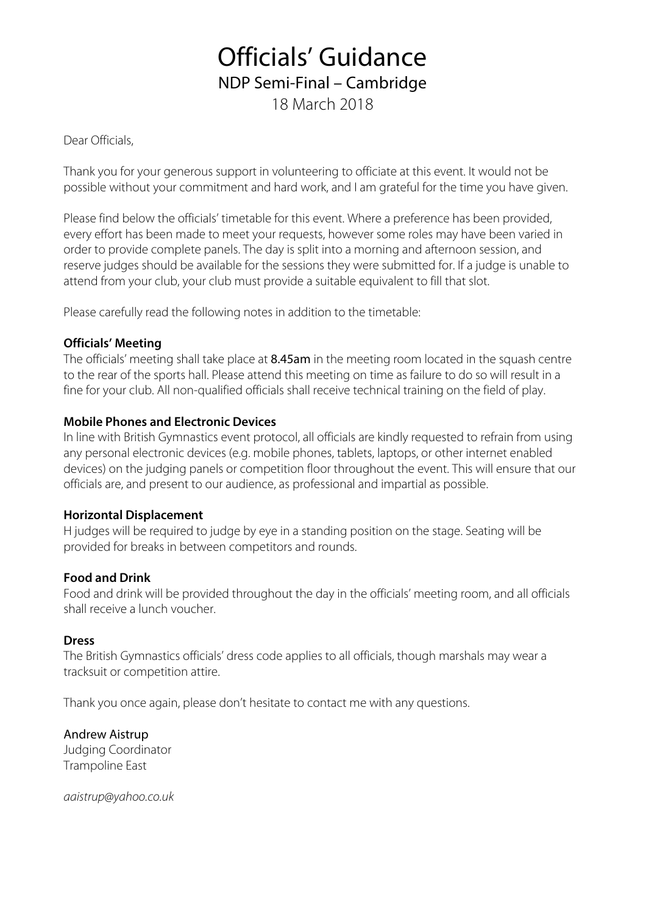## Officials' Guidance NDP Semi-Final – Cambridge 18 March 2018

Dear Officials,

Thank you for your generous support in volunteering to officiate at this event. It would not be possible without your commitment and hard work, and I am grateful for the time you have given.

Please find below the officials' timetable for this event. Where a preference has been provided, every effort has been made to meet your requests, however some roles may have been varied in order to provide complete panels. The day is split into a morning and afternoon session, and reserve judges should be available for the sessions they were submitted for. If a judge is unable to attend from your club, your club must provide a suitable equivalent to fill that slot.

Please carefully read the following notes in addition to the timetable:

### **Officials' Meeting**

The officials' meeting shall take place at 8.45am in the meeting room located in the squash centre to the rear of the sports hall. Please attend this meeting on time as failure to do so will result in a fine for your club. All non-qualified officials shall receive technical training on the field of play.

### **Mobile Phones and Electronic Devices**

In line with British Gymnastics event protocol, all officials are kindly requested to refrain from using any personal electronic devices (e.g. mobile phones, tablets, laptops, or other internet enabled devices) on the judging panels or competition floor throughout the event. This will ensure that our officials are, and present to our audience, as professional and impartial as possible.

#### **Horizontal Displacement**

H judges will be required to judge by eye in a standing position on the stage. Seating will be provided for breaks in between competitors and rounds.

### **Food and Drink**

Food and drink will be provided throughout the day in the officials' meeting room, and all officials shall receive a lunch voucher.

### **Dress**

The British Gymnastics officials' dress code applies to all officials, though marshals may wear a tracksuit or competition attire.

Thank you once again, please don't hesitate to contact me with any questions.

Andrew Aistrup Judging Coordinator Trampoline East

*aaistrup@yahoo.co.uk*